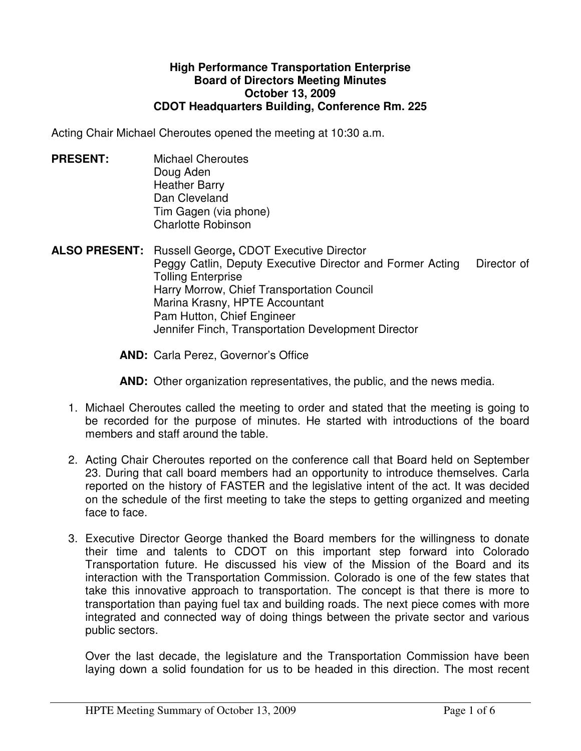## **High Performance Transportation Enterprise Board of Directors Meeting Minutes October 13, 2009 CDOT Headquarters Building, Conference Rm. 225**

Acting Chair Michael Cheroutes opened the meeting at 10:30 a.m.

- **PRESENT:** Michael Cheroutes Doug Aden Heather Barry Dan Cleveland Tim Gagen (via phone) Charlotte Robinson
- **ALSO PRESENT:** Russell George**,** CDOT Executive Director Peggy Catlin, Deputy Executive Director and Former Acting Director of Tolling Enterprise Harry Morrow, Chief Transportation Council Marina Krasny, HPTE Accountant Pam Hutton, Chief Engineer Jennifer Finch, Transportation Development Director

**AND:** Carla Perez, Governor's Office

**AND:** Other organization representatives, the public, and the news media.

- 1. Michael Cheroutes called the meeting to order and stated that the meeting is going to be recorded for the purpose of minutes. He started with introductions of the board members and staff around the table.
- 2. Acting Chair Cheroutes reported on the conference call that Board held on September 23. During that call board members had an opportunity to introduce themselves. Carla reported on the history of FASTER and the legislative intent of the act. It was decided on the schedule of the first meeting to take the steps to getting organized and meeting face to face.
- 3. Executive Director George thanked the Board members for the willingness to donate their time and talents to CDOT on this important step forward into Colorado Transportation future. He discussed his view of the Mission of the Board and its interaction with the Transportation Commission. Colorado is one of the few states that take this innovative approach to transportation. The concept is that there is more to transportation than paying fuel tax and building roads. The next piece comes with more integrated and connected way of doing things between the private sector and various public sectors.

Over the last decade, the legislature and the Transportation Commission have been laying down a solid foundation for us to be headed in this direction. The most recent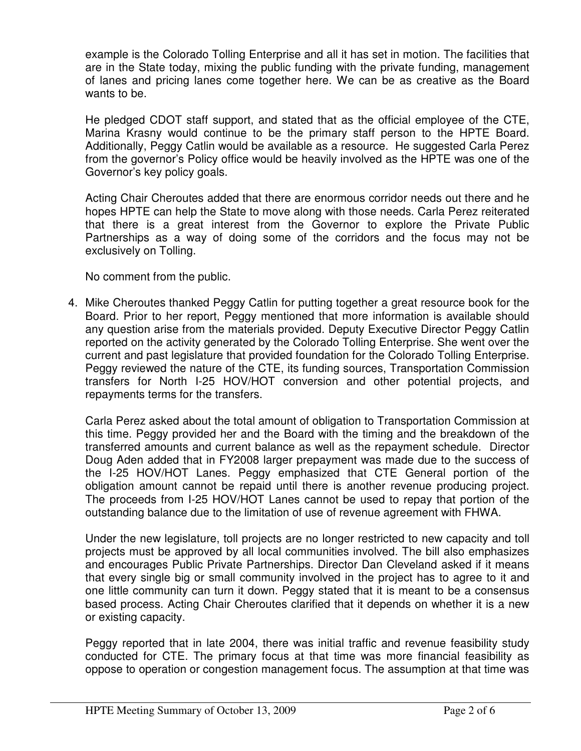example is the Colorado Tolling Enterprise and all it has set in motion. The facilities that are in the State today, mixing the public funding with the private funding, management of lanes and pricing lanes come together here. We can be as creative as the Board wants to be.

He pledged CDOT staff support, and stated that as the official employee of the CTE, Marina Krasny would continue to be the primary staff person to the HPTE Board. Additionally, Peggy Catlin would be available as a resource. He suggested Carla Perez from the governor's Policy office would be heavily involved as the HPTE was one of the Governor's key policy goals.

Acting Chair Cheroutes added that there are enormous corridor needs out there and he hopes HPTE can help the State to move along with those needs. Carla Perez reiterated that there is a great interest from the Governor to explore the Private Public Partnerships as a way of doing some of the corridors and the focus may not be exclusively on Tolling.

No comment from the public.

4. Mike Cheroutes thanked Peggy Catlin for putting together a great resource book for the Board. Prior to her report, Peggy mentioned that more information is available should any question arise from the materials provided. Deputy Executive Director Peggy Catlin reported on the activity generated by the Colorado Tolling Enterprise. She went over the current and past legislature that provided foundation for the Colorado Tolling Enterprise. Peggy reviewed the nature of the CTE, its funding sources, Transportation Commission transfers for North I-25 HOV/HOT conversion and other potential projects, and repayments terms for the transfers.

Carla Perez asked about the total amount of obligation to Transportation Commission at this time. Peggy provided her and the Board with the timing and the breakdown of the transferred amounts and current balance as well as the repayment schedule. Director Doug Aden added that in FY2008 larger prepayment was made due to the success of the I-25 HOV/HOT Lanes. Peggy emphasized that CTE General portion of the obligation amount cannot be repaid until there is another revenue producing project. The proceeds from I-25 HOV/HOT Lanes cannot be used to repay that portion of the outstanding balance due to the limitation of use of revenue agreement with FHWA.

Under the new legislature, toll projects are no longer restricted to new capacity and toll projects must be approved by all local communities involved. The bill also emphasizes and encourages Public Private Partnerships. Director Dan Cleveland asked if it means that every single big or small community involved in the project has to agree to it and one little community can turn it down. Peggy stated that it is meant to be a consensus based process. Acting Chair Cheroutes clarified that it depends on whether it is a new or existing capacity.

Peggy reported that in late 2004, there was initial traffic and revenue feasibility study conducted for CTE. The primary focus at that time was more financial feasibility as oppose to operation or congestion management focus. The assumption at that time was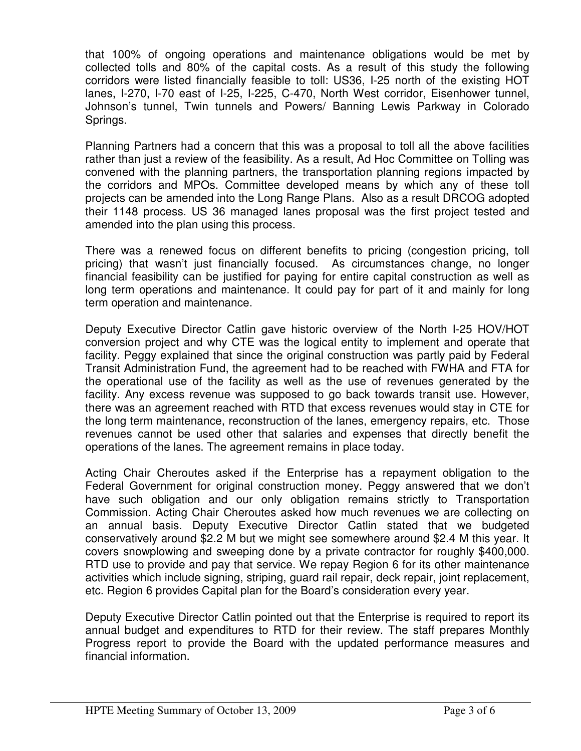that 100% of ongoing operations and maintenance obligations would be met by collected tolls and 80% of the capital costs. As a result of this study the following corridors were listed financially feasible to toll: US36, I-25 north of the existing HOT lanes, I-270, I-70 east of I-25, I-225, C-470, North West corridor, Eisenhower tunnel, Johnson's tunnel, Twin tunnels and Powers/ Banning Lewis Parkway in Colorado Springs.

Planning Partners had a concern that this was a proposal to toll all the above facilities rather than just a review of the feasibility. As a result, Ad Hoc Committee on Tolling was convened with the planning partners, the transportation planning regions impacted by the corridors and MPOs. Committee developed means by which any of these toll projects can be amended into the Long Range Plans. Also as a result DRCOG adopted their 1148 process. US 36 managed lanes proposal was the first project tested and amended into the plan using this process.

There was a renewed focus on different benefits to pricing (congestion pricing, toll pricing) that wasn't just financially focused. As circumstances change, no longer financial feasibility can be justified for paying for entire capital construction as well as long term operations and maintenance. It could pay for part of it and mainly for long term operation and maintenance.

Deputy Executive Director Catlin gave historic overview of the North I-25 HOV/HOT conversion project and why CTE was the logical entity to implement and operate that facility. Peggy explained that since the original construction was partly paid by Federal Transit Administration Fund, the agreement had to be reached with FWHA and FTA for the operational use of the facility as well as the use of revenues generated by the facility. Any excess revenue was supposed to go back towards transit use. However, there was an agreement reached with RTD that excess revenues would stay in CTE for the long term maintenance, reconstruction of the lanes, emergency repairs, etc. Those revenues cannot be used other that salaries and expenses that directly benefit the operations of the lanes. The agreement remains in place today.

Acting Chair Cheroutes asked if the Enterprise has a repayment obligation to the Federal Government for original construction money. Peggy answered that we don't have such obligation and our only obligation remains strictly to Transportation Commission. Acting Chair Cheroutes asked how much revenues we are collecting on an annual basis. Deputy Executive Director Catlin stated that we budgeted conservatively around \$2.2 M but we might see somewhere around \$2.4 M this year. It covers snowplowing and sweeping done by a private contractor for roughly \$400,000. RTD use to provide and pay that service. We repay Region 6 for its other maintenance activities which include signing, striping, guard rail repair, deck repair, joint replacement, etc. Region 6 provides Capital plan for the Board's consideration every year.

Deputy Executive Director Catlin pointed out that the Enterprise is required to report its annual budget and expenditures to RTD for their review. The staff prepares Monthly Progress report to provide the Board with the updated performance measures and financial information.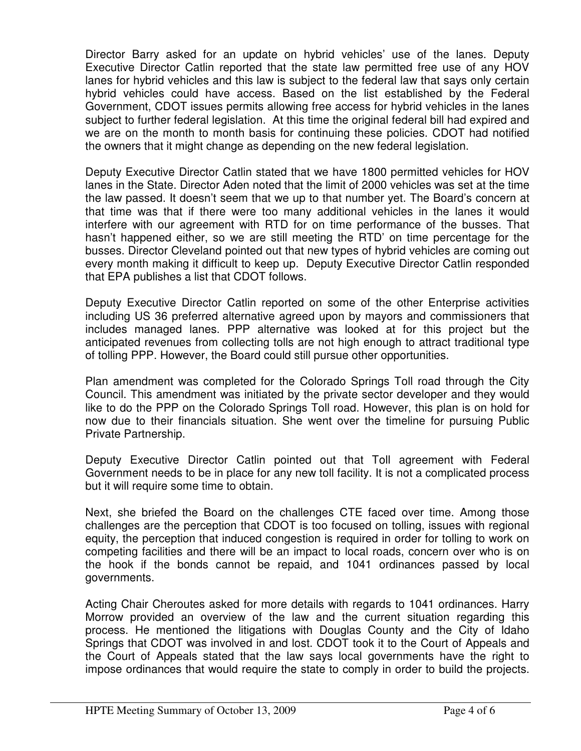Director Barry asked for an update on hybrid vehicles' use of the lanes. Deputy Executive Director Catlin reported that the state law permitted free use of any HOV lanes for hybrid vehicles and this law is subject to the federal law that says only certain hybrid vehicles could have access. Based on the list established by the Federal Government, CDOT issues permits allowing free access for hybrid vehicles in the lanes subject to further federal legislation. At this time the original federal bill had expired and we are on the month to month basis for continuing these policies. CDOT had notified the owners that it might change as depending on the new federal legislation.

Deputy Executive Director Catlin stated that we have 1800 permitted vehicles for HOV lanes in the State. Director Aden noted that the limit of 2000 vehicles was set at the time the law passed. It doesn't seem that we up to that number yet. The Board's concern at that time was that if there were too many additional vehicles in the lanes it would interfere with our agreement with RTD for on time performance of the busses. That hasn't happened either, so we are still meeting the RTD' on time percentage for the busses. Director Cleveland pointed out that new types of hybrid vehicles are coming out every month making it difficult to keep up. Deputy Executive Director Catlin responded that EPA publishes a list that CDOT follows.

Deputy Executive Director Catlin reported on some of the other Enterprise activities including US 36 preferred alternative agreed upon by mayors and commissioners that includes managed lanes. PPP alternative was looked at for this project but the anticipated revenues from collecting tolls are not high enough to attract traditional type of tolling PPP. However, the Board could still pursue other opportunities.

Plan amendment was completed for the Colorado Springs Toll road through the City Council. This amendment was initiated by the private sector developer and they would like to do the PPP on the Colorado Springs Toll road. However, this plan is on hold for now due to their financials situation. She went over the timeline for pursuing Public Private Partnership.

Deputy Executive Director Catlin pointed out that Toll agreement with Federal Government needs to be in place for any new toll facility. It is not a complicated process but it will require some time to obtain.

Next, she briefed the Board on the challenges CTE faced over time. Among those challenges are the perception that CDOT is too focused on tolling, issues with regional equity, the perception that induced congestion is required in order for tolling to work on competing facilities and there will be an impact to local roads, concern over who is on the hook if the bonds cannot be repaid, and 1041 ordinances passed by local governments.

Acting Chair Cheroutes asked for more details with regards to 1041 ordinances. Harry Morrow provided an overview of the law and the current situation regarding this process. He mentioned the litigations with Douglas County and the City of Idaho Springs that CDOT was involved in and lost. CDOT took it to the Court of Appeals and the Court of Appeals stated that the law says local governments have the right to impose ordinances that would require the state to comply in order to build the projects.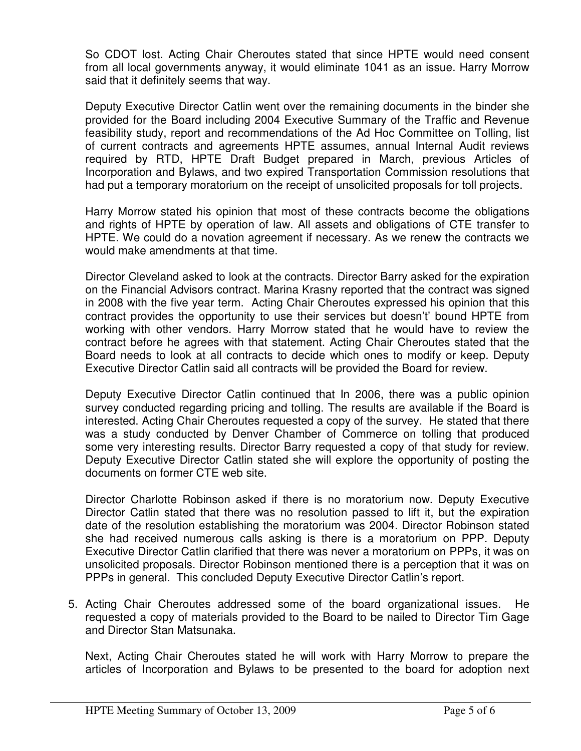So CDOT lost. Acting Chair Cheroutes stated that since HPTE would need consent from all local governments anyway, it would eliminate 1041 as an issue. Harry Morrow said that it definitely seems that way.

Deputy Executive Director Catlin went over the remaining documents in the binder she provided for the Board including 2004 Executive Summary of the Traffic and Revenue feasibility study, report and recommendations of the Ad Hoc Committee on Tolling, list of current contracts and agreements HPTE assumes, annual Internal Audit reviews required by RTD, HPTE Draft Budget prepared in March, previous Articles of Incorporation and Bylaws, and two expired Transportation Commission resolutions that had put a temporary moratorium on the receipt of unsolicited proposals for toll projects.

Harry Morrow stated his opinion that most of these contracts become the obligations and rights of HPTE by operation of law. All assets and obligations of CTE transfer to HPTE. We could do a novation agreement if necessary. As we renew the contracts we would make amendments at that time.

Director Cleveland asked to look at the contracts. Director Barry asked for the expiration on the Financial Advisors contract. Marina Krasny reported that the contract was signed in 2008 with the five year term. Acting Chair Cheroutes expressed his opinion that this contract provides the opportunity to use their services but doesn't' bound HPTE from working with other vendors. Harry Morrow stated that he would have to review the contract before he agrees with that statement. Acting Chair Cheroutes stated that the Board needs to look at all contracts to decide which ones to modify or keep. Deputy Executive Director Catlin said all contracts will be provided the Board for review.

Deputy Executive Director Catlin continued that In 2006, there was a public opinion survey conducted regarding pricing and tolling. The results are available if the Board is interested. Acting Chair Cheroutes requested a copy of the survey. He stated that there was a study conducted by Denver Chamber of Commerce on tolling that produced some very interesting results. Director Barry requested a copy of that study for review. Deputy Executive Director Catlin stated she will explore the opportunity of posting the documents on former CTE web site.

Director Charlotte Robinson asked if there is no moratorium now. Deputy Executive Director Catlin stated that there was no resolution passed to lift it, but the expiration date of the resolution establishing the moratorium was 2004. Director Robinson stated she had received numerous calls asking is there is a moratorium on PPP. Deputy Executive Director Catlin clarified that there was never a moratorium on PPPs, it was on unsolicited proposals. Director Robinson mentioned there is a perception that it was on PPPs in general. This concluded Deputy Executive Director Catlin's report.

5. Acting Chair Cheroutes addressed some of the board organizational issues. He requested a copy of materials provided to the Board to be nailed to Director Tim Gage and Director Stan Matsunaka.

Next, Acting Chair Cheroutes stated he will work with Harry Morrow to prepare the articles of Incorporation and Bylaws to be presented to the board for adoption next